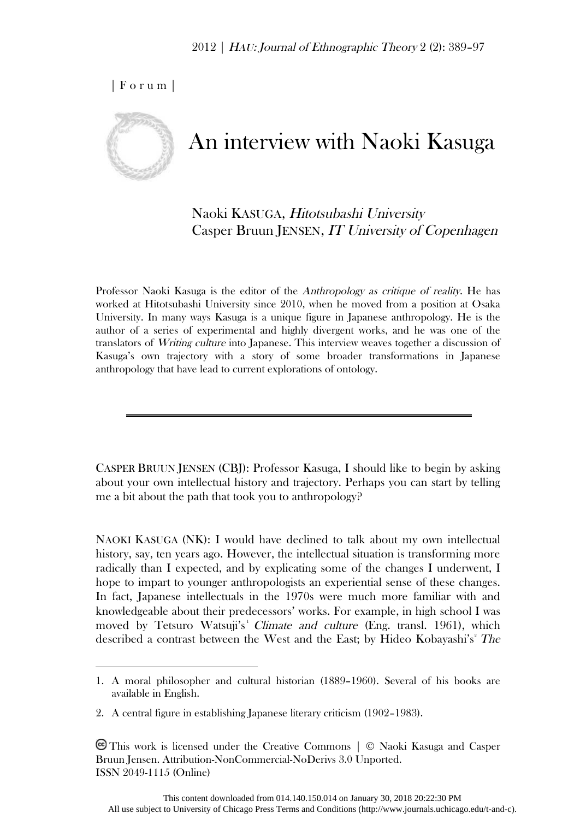|Forum|



 $\overline{a}$ 

# An interview with Naoki Kasuga

### Naoki KASUGA, Hitotsubashi University Casper Bruun JENSEN, IT University of Copenhagen

Professor Naoki Kasuga is the editor of the *Anthropology as critique of reality*. He has worked at Hitotsubashi University since 2010, when he moved from a position at Osaka University. In many ways Kasuga is a unique figure in Japanese anthropology. He is the author of a series of experimental and highly divergent works, and he was one of the translators of Writing culture into Japanese. This interview weaves together a discussion of Kasuga's own trajectory with a story of some broader transformations in Japanese anthropology that have lead to current explorations of ontology.

CASPER BRUUN JENSEN (CBJ): Professor Kasuga, I should like to begin by asking about your own intellectual history and trajectory. Perhaps you can start by telling me a bit about the path that took you to anthropology?

NAOKI KASUGA (NK): I would have declined to talk about my own intellectual history, say, ten years ago. However, the intellectual situation is transforming more radically than I expected, and by explicating some of the changes I underwent, I hope to impart to younger anthropologists an experiential sense of these changes. In fact, Japanese intellectuals in the 1970s were much more familiar with and knowledgeable about their predecessors' works. For example, in high school I was moved by Tetsuro Watsuji's *Climate and culture* (Eng. transl. 1961), which described a contrast between the West and the East; by Hideo Kobayashi's<sup>2</sup> The

<sup>1.</sup> A moral philosopher and cultural historian (1889–1960). Several of his books are available in English.

<sup>2.</sup> A central figure in establishing Japanese literary criticism (1902–1983).

This work is licensed under the Creative Commons | © Naoki Kasuga and Casper Bruun Jensen. Attribution-NonCommercial-NoDerivs 3.0 Unported. ISSN 2049-1115 (Online)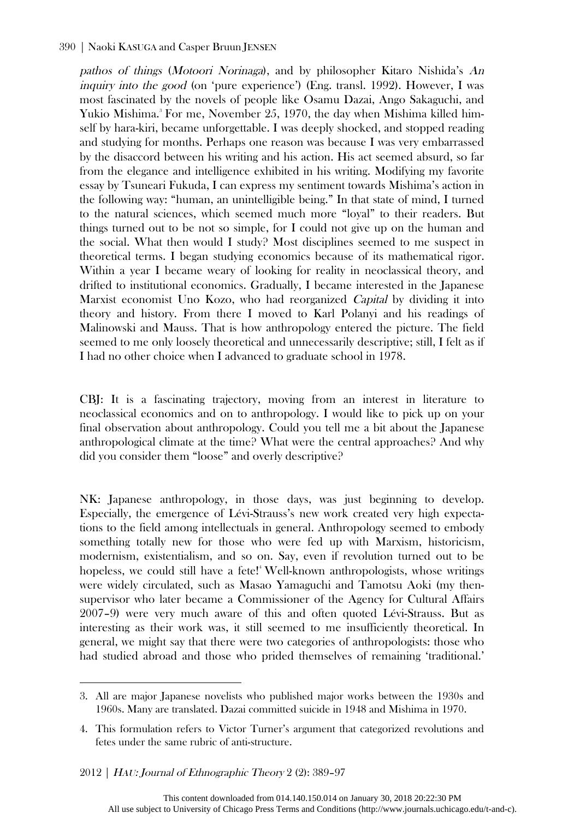#### 390 | Naoki KASUGA and Casper Bruun JENSEN

pathos of things (Motoori Norinaga), and by philosopher Kitaro Nishida's An inquiry into the good (on 'pure experience') (Eng. transl. 1992). However, I was most fascinated by the novels of people like Osamu Dazai, Ango Sakaguchi, and Yukio Mishima.<sup>8</sup> For me, November 25, 1970, the day when Mishima killed himself by hara-kiri, became unforgettable. I was deeply shocked, and stopped reading and studying for months. Perhaps one reason was because I was very embarrassed by the disaccord between his writing and his action. His act seemed absurd, so far from the elegance and intelligence exhibited in his writing. Modifying my favorite essay by Tsuneari Fukuda, I can express my sentiment towards Mishima's action in the following way: "human, an unintelligible being." In that state of mind, I turned to the natural sciences, which seemed much more "loyal" to their readers. But things turned out to be not so simple, for I could not give up on the human and the social. What then would I study? Most disciplines seemed to me suspect in theoretical terms. I began studying economics because of its mathematical rigor. Within a year I became weary of looking for reality in neoclassical theory, and drifted to institutional economics. Gradually, I became interested in the Japanese Marxist economist Uno Kozo, who had reorganized Capital by dividing it into theory and history. From there I moved to Karl Polanyi and his readings of Malinowski and Mauss. That is how anthropology entered the picture. The field seemed to me only loosely theoretical and unnecessarily descriptive; still, I felt as if I had no other choice when I advanced to graduate school in 1978.

CBJ: It is a fascinating trajectory, moving from an interest in literature to neoclassical economics and on to anthropology. I would like to pick up on your final observation about anthropology. Could you tell me a bit about the Japanese anthropological climate at the time? What were the central approaches? And why did you consider them "loose" and overly descriptive?

NK: Japanese anthropology, in those days, was just beginning to develop. Especially, the emergence of Lévi-Strauss's new work created very high expectations to the field among intellectuals in general. Anthropology seemed to embody something totally new for those who were fed up with Marxism, historicism, modernism, existentialism, and so on. Say, even if revolution turned out to be hopeless, we could still have a fete!4 Well-known anthropologists, whose writings were widely circulated, such as Masao Yamaguchi and Tamotsu Aoki (my thensupervisor who later became a Commissioner of the Agency for Cultural Affairs 2007–9) were very much aware of this and often quoted Lévi-Strauss. But as interesting as their work was, it still seemed to me insufficiently theoretical. In general, we might say that there were two categories of anthropologists: those who had studied abroad and those who prided themselves of remaining 'traditional.'

2012 | HAU: Journal of Ethnographic Theory 2 (2): 389–97

 $\overline{a}$ 

<sup>3.</sup> All are major Japanese novelists who published major works between the 1930s and 1960s. Many are translated. Dazai committed suicide in 1948 and Mishima in 1970.

<sup>4.</sup> This formulation refers to Victor Turner's argument that categorized revolutions and fetes under the same rubric of anti-structure.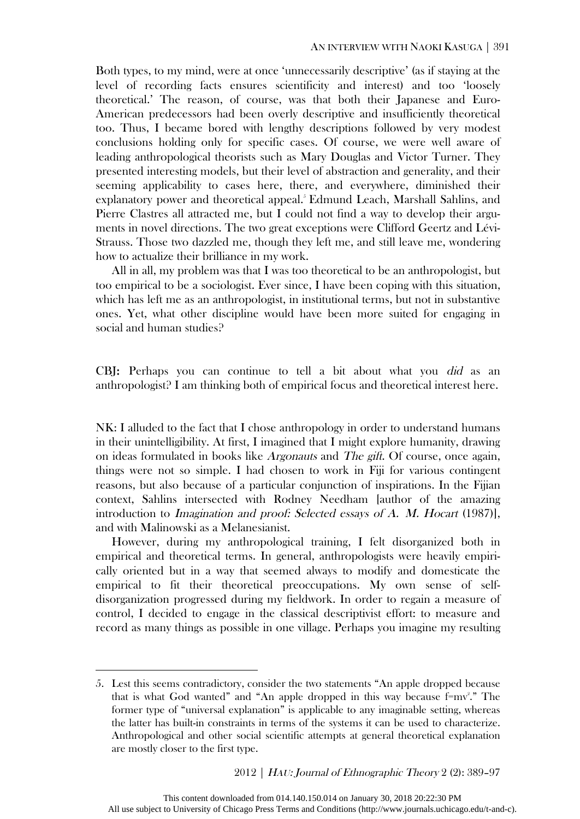Both types, to my mind, were at once 'unnecessarily descriptive' (as if staying at the level of recording facts ensures scientificity and interest) and too 'loosely theoretical.' The reason, of course, was that both their Japanese and Euro-American predecessors had been overly descriptive and insufficiently theoretical too. Thus, I became bored with lengthy descriptions followed by very modest conclusions holding only for specific cases. Of course, we were well aware of leading anthropological theorists such as Mary Douglas and Victor Turner. They presented interesting models, but their level of abstraction and generality, and their seeming applicability to cases here, there, and everywhere, diminished their explanatory power and theoretical appeal. 5 Edmund Leach, Marshall Sahlins, and Pierre Clastres all attracted me, but I could not find a way to develop their arguments in novel directions. The two great exceptions were Clifford Geertz and Lévi-Strauss. Those two dazzled me, though they left me, and still leave me, wondering how to actualize their brilliance in my work.

All in all, my problem was that I was too theoretical to be an anthropologist, but too empirical to be a sociologist. Ever since, I have been coping with this situation, which has left me as an anthropologist, in institutional terms, but not in substantive ones. Yet, what other discipline would have been more suited for engaging in social and human studies?

CBJ: Perhaps you can continue to tell a bit about what you did as an anthropologist? I am thinking both of empirical focus and theoretical interest here.

NK: I alluded to the fact that I chose anthropology in order to understand humans in their unintelligibility. At first, I imagined that I might explore humanity, drawing on ideas formulated in books like Argonauts and The gift. Of course, once again, things were not so simple. I had chosen to work in Fiji for various contingent reasons, but also because of a particular conjunction of inspirations. In the Fijian context, Sahlins intersected with Rodney Needham [author of the amazing introduction to Imagination and proof: Selected essays of A. M. Hocart (1987)], and with Malinowski as a Melanesianist.

However, during my anthropological training, I felt disorganized both in empirical and theoretical terms. In general, anthropologists were heavily empirically oriented but in a way that seemed always to modify and domesticate the empirical to fit their theoretical preoccupations. My own sense of selfdisorganization progressed during my fieldwork. In order to regain a measure of control, I decided to engage in the classical descriptivist effort: to measure and record as many things as possible in one village. Perhaps you imagine my resulting

 $\overline{a}$ 

<sup>5.</sup> Lest this seems contradictory, consider the two statements "An apple dropped because that is what God wanted" and "An apple dropped in this way because  $f=mv^2$ ." The former type of "universal explanation" is applicable to any imaginable setting, whereas the latter has built-in constraints in terms of the systems it can be used to characterize. Anthropological and other social scientific attempts at general theoretical explanation are mostly closer to the first type.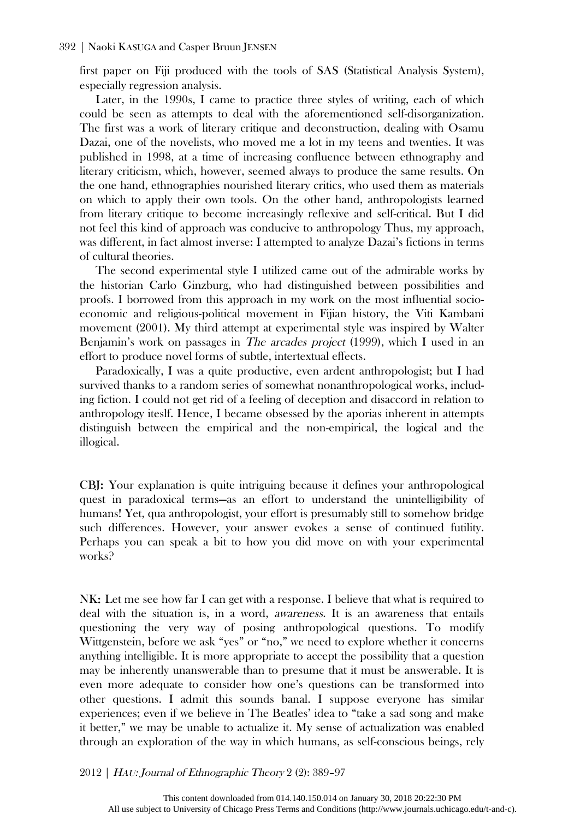first paper on Fiji produced with the tools of SAS (Statistical Analysis System), especially regression analysis.

Later, in the 1990s, I came to practice three styles of writing, each of which could be seen as attempts to deal with the aforementioned self-disorganization. The first was a work of literary critique and deconstruction, dealing with Osamu Dazai, one of the novelists, who moved me a lot in my teens and twenties. It was published in 1998, at a time of increasing confluence between ethnography and literary criticism, which, however, seemed always to produce the same results. On the one hand, ethnographies nourished literary critics, who used them as materials on which to apply their own tools. On the other hand, anthropologists learned from literary critique to become increasingly reflexive and self-critical. But I did not feel this kind of approach was conducive to anthropology Thus, my approach, was different, in fact almost inverse: I attempted to analyze Dazai's fictions in terms of cultural theories.

The second experimental style I utilized came out of the admirable works by the historian Carlo Ginzburg, who had distinguished between possibilities and proofs. I borrowed from this approach in my work on the most influential socioeconomic and religious-political movement in Fijian history, the Viti Kambani movement (2001). My third attempt at experimental style was inspired by Walter Benjamin's work on passages in *The arcades project* (1999), which I used in an effort to produce novel forms of subtle, intertextual effects.

Paradoxically, I was a quite productive, even ardent anthropologist; but I had survived thanks to a random series of somewhat nonanthropological works, including fiction. I could not get rid of a feeling of deception and disaccord in relation to anthropology iteslf. Hence, I became obsessed by the aporias inherent in attempts distinguish between the empirical and the non-empirical, the logical and the illogical.

CBJ: Your explanation is quite intriguing because it defines your anthropological quest in paradoxical terms—as an effort to understand the unintelligibility of humans! Yet, qua anthropologist, your effort is presumably still to somehow bridge such differences. However, your answer evokes a sense of continued futility. Perhaps you can speak a bit to how you did move on with your experimental works?

NK: Let me see how far I can get with a response. I believe that what is required to deal with the situation is, in a word, awareness. It is an awareness that entails questioning the very way of posing anthropological questions. To modify Wittgenstein, before we ask "yes" or "no," we need to explore whether it concerns anything intelligible. It is more appropriate to accept the possibility that a question may be inherently unanswerable than to presume that it must be answerable. It is even more adequate to consider how one's questions can be transformed into other questions. I admit this sounds banal. I suppose everyone has similar experiences; even if we believe in The Beatles' idea to "take a sad song and make it better," we may be unable to actualize it. My sense of actualization was enabled through an exploration of the way in which humans, as self-conscious beings, rely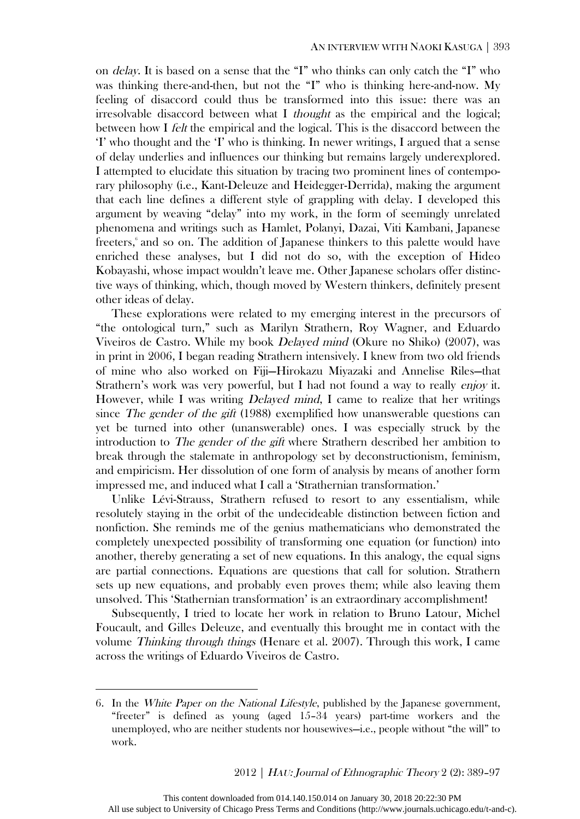on delay. It is based on a sense that the "I" who thinks can only catch the "I" who was thinking there-and-then, but not the "I" who is thinking here-and-now. My feeling of disaccord could thus be transformed into this issue: there was an irresolvable disaccord between what I *thought* as the empirical and the logical; between how I felt the empirical and the logical. This is the disaccord between the 'I' who thought and the 'I' who is thinking. In newer writings, I argued that a sense of delay underlies and influences our thinking but remains largely underexplored. I attempted to elucidate this situation by tracing two prominent lines of contemporary philosophy (i.e., Kant-Deleuze and Heidegger-Derrida), making the argument that each line defines a different style of grappling with delay. I developed this argument by weaving "delay" into my work, in the form of seemingly unrelated phenomena and writings such as Hamlet, Polanyi, Dazai, Viti Kambani, Japanese freeters, 6 and so on. The addition of Japanese thinkers to this palette would have enriched these analyses, but I did not do so, with the exception of Hideo Kobayashi, whose impact wouldn't leave me. Other Japanese scholars offer distinctive ways of thinking, which, though moved by Western thinkers, definitely present other ideas of delay.

These explorations were related to my emerging interest in the precursors of "the ontological turn," such as Marilyn Strathern, Roy Wagner, and Eduardo Viveiros de Castro. While my book Delayed mind (Okure no Shiko) (2007), was in print in 2006, I began reading Strathern intensively. I knew from two old friends of mine who also worked on Fiji—Hirokazu Miyazaki and Annelise Riles—that Strathern's work was very powerful, but I had not found a way to really enjoy it. However, while I was writing *Delayed mind*, I came to realize that her writings since The gender of the gift (1988) exemplified how unanswerable questions can yet be turned into other (unanswerable) ones. I was especially struck by the introduction to The gender of the gift where Strathern described her ambition to break through the stalemate in anthropology set by deconstructionism, feminism, and empiricism. Her dissolution of one form of analysis by means of another form impressed me, and induced what I call a 'Strathernian transformation.'

Unlike Lévi-Strauss, Strathern refused to resort to any essentialism, while resolutely staying in the orbit of the undecideable distinction between fiction and nonfiction. She reminds me of the genius mathematicians who demonstrated the completely unexpected possibility of transforming one equation (or function) into another, thereby generating a set of new equations. In this analogy, the equal signs are partial connections. Equations are questions that call for solution. Strathern sets up new equations, and probably even proves them; while also leaving them unsolved. This 'Stathernian transformation' is an extraordinary accomplishment!

Subsequently, I tried to locate her work in relation to Bruno Latour, Michel Foucault, and Gilles Deleuze, and eventually this brought me in contact with the volume Thinking through things (Henare et al. 2007). Through this work, I came across the writings of Eduardo Viveiros de Castro.

 $\overline{a}$ 

<sup>6.</sup> In the White Paper on the National Lifestyle, published by the Japanese government, "freeter" is defined as young (aged 15–34 years) part-time workers and the unemployed, who are neither students nor housewives—i.e., people without "the will" to work.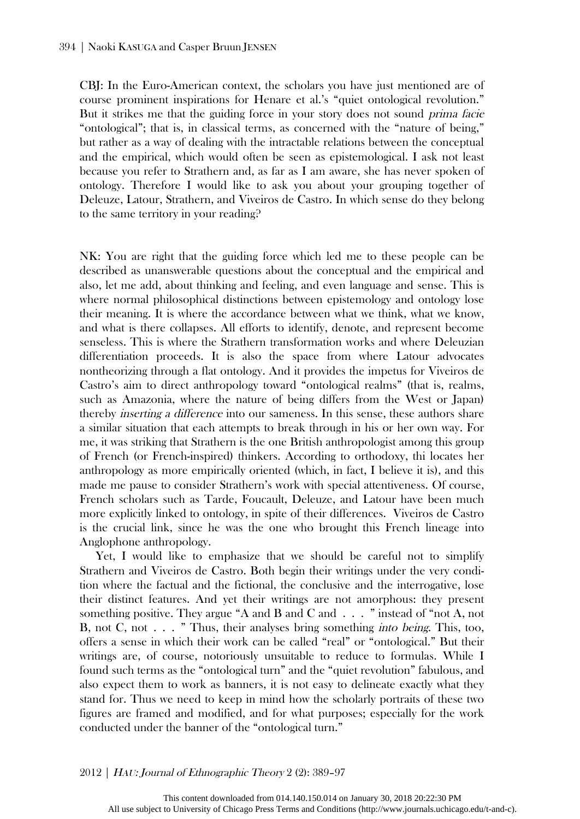CBJ: In the Euro-American context, the scholars you have just mentioned are of course prominent inspirations for Henare et al.'s "quiet ontological revolution." But it strikes me that the guiding force in your story does not sound *prima facie* "ontological"; that is, in classical terms, as concerned with the "nature of being," but rather as a way of dealing with the intractable relations between the conceptual and the empirical, which would often be seen as epistemological. I ask not least because you refer to Strathern and, as far as I am aware, she has never spoken of ontology. Therefore I would like to ask you about your grouping together of Deleuze, Latour, Strathern, and Viveiros de Castro. In which sense do they belong to the same territory in your reading?

NK: You are right that the guiding force which led me to these people can be described as unanswerable questions about the conceptual and the empirical and also, let me add, about thinking and feeling, and even language and sense. This is where normal philosophical distinctions between epistemology and ontology lose their meaning. It is where the accordance between what we think, what we know, and what is there collapses. All efforts to identify, denote, and represent become senseless. This is where the Strathern transformation works and where Deleuzian differentiation proceeds. It is also the space from where Latour advocates nontheorizing through a flat ontology. And it provides the impetus for Viveiros de Castro's aim to direct anthropology toward "ontological realms" (that is, realms, such as Amazonia, where the nature of being differs from the West or Japan) thereby inserting a difference into our sameness. In this sense, these authors share a similar situation that each attempts to break through in his or her own way. For me, it was striking that Strathern is the one British anthropologist among this group of French (or French-inspired) thinkers. According to orthodoxy, thi locates her anthropology as more empirically oriented (which, in fact, I believe it is), and this made me pause to consider Strathern's work with special attentiveness. Of course, French scholars such as Tarde, Foucault, Deleuze, and Latour have been much more explicitly linked to ontology, in spite of their differences. Viveiros de Castro is the crucial link, since he was the one who brought this French lineage into Anglophone anthropology.

Yet, I would like to emphasize that we should be careful not to simplify Strathern and Viveiros de Castro. Both begin their writings under the very condition where the factual and the fictional, the conclusive and the interrogative, lose their distinct features. And yet their writings are not amorphous: they present something positive. They argue "A and B and C and  $\ldots$  " instead of "not A, not B, not C, not  $\ldots$  " Thus, their analyses bring something *into being*. This, too, offers a sense in which their work can be called "real" or "ontological." But their writings are, of course, notoriously unsuitable to reduce to formulas. While I found such terms as the "ontological turn" and the "quiet revolution" fabulous, and also expect them to work as banners, it is not easy to delineate exactly what they stand for. Thus we need to keep in mind how the scholarly portraits of these two figures are framed and modified, and for what purposes; especially for the work conducted under the banner of the "ontological turn."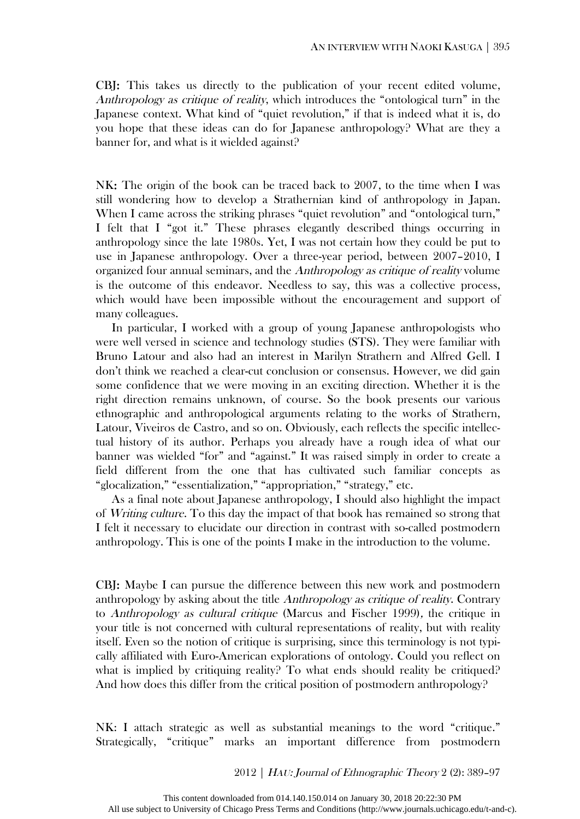CBJ: This takes us directly to the publication of your recent edited volume, Anthropology as critique of reality, which introduces the "ontological turn" in the Japanese context. What kind of "quiet revolution," if that is indeed what it is, do you hope that these ideas can do for Japanese anthropology? What are they a banner for, and what is it wielded against?

NK: The origin of the book can be traced back to 2007, to the time when I was still wondering how to develop a Strathernian kind of anthropology in Japan. When I came across the striking phrases "quiet revolution" and "ontological turn," I felt that I "got it." These phrases elegantly described things occurring in anthropology since the late 1980s. Yet, I was not certain how they could be put to use in Japanese anthropology. Over a three-year period, between 2007–2010, I organized four annual seminars, and the Anthropology as critique of reality volume is the outcome of this endeavor. Needless to say, this was a collective process, which would have been impossible without the encouragement and support of many colleagues.

In particular, I worked with a group of young Japanese anthropologists who were well versed in science and technology studies (STS). They were familiar with Bruno Latour and also had an interest in Marilyn Strathern and Alfred Gell. I don't think we reached a clear-cut conclusion or consensus. However, we did gain some confidence that we were moving in an exciting direction. Whether it is the right direction remains unknown, of course. So the book presents our various ethnographic and anthropological arguments relating to the works of Strathern, Latour, Viveiros de Castro, and so on. Obviously, each reflects the specific intellectual history of its author. Perhaps you already have a rough idea of what our banner was wielded "for" and "against." It was raised simply in order to create a field different from the one that has cultivated such familiar concepts as "glocalization," "essentialization," "appropriation," "strategy," etc.

As a final note about Japanese anthropology, I should also highlight the impact of Writing culture. To this day the impact of that book has remained so strong that I felt it necessary to elucidate our direction in contrast with so-called postmodern anthropology. This is one of the points I make in the introduction to the volume.

CBJ: Maybe I can pursue the difference between this new work and postmodern anthropology by asking about the title Anthropology as critique of reality. Contrary to Anthropology as cultural critique (Marcus and Fischer 1999), the critique in your title is not concerned with cultural representations of reality, but with reality itself. Even so the notion of critique is surprising, since this terminology is not typically affiliated with Euro-American explorations of ontology. Could you reflect on what is implied by critiquing reality? To what ends should reality be critiqued? And how does this differ from the critical position of postmodern anthropology?

NK: I attach strategic as well as substantial meanings to the word "critique." Strategically, "critique" marks an important difference from postmodern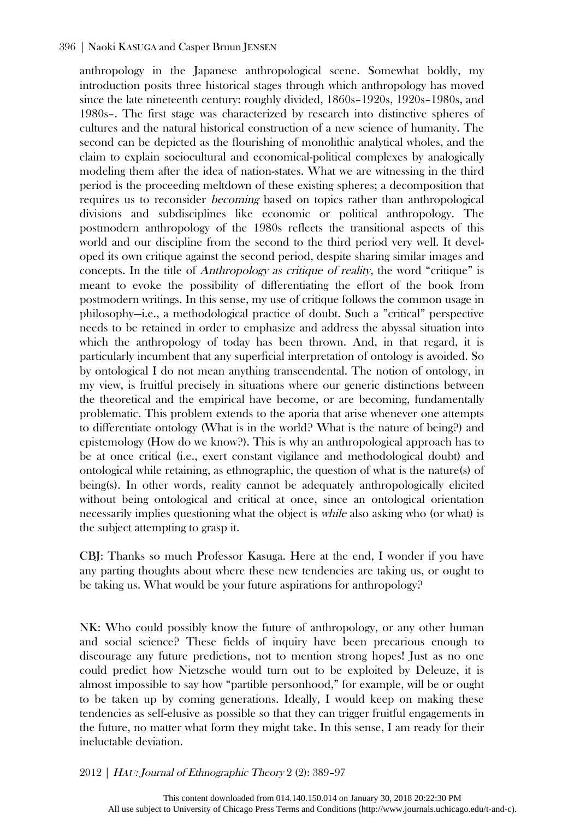anthropology in the Japanese anthropological scene. Somewhat boldly, my introduction posits three historical stages through which anthropology has moved since the late nineteenth century: roughly divided, 1860s–1920s, 1920s–1980s, and 1980s–. The first stage was characterized by research into distinctive spheres of cultures and the natural historical construction of a new science of humanity. The second can be depicted as the flourishing of monolithic analytical wholes, and the claim to explain sociocultural and economical-political complexes by analogically modeling them after the idea of nation-states. What we are witnessing in the third period is the proceeding meltdown of these existing spheres; a decomposition that requires us to reconsider becoming based on topics rather than anthropological divisions and subdisciplines like economic or political anthropology. The postmodern anthropology of the 1980s reflects the transitional aspects of this world and our discipline from the second to the third period very well. It developed its own critique against the second period, despite sharing similar images and concepts. In the title of Anthropology as critique of reality, the word "critique" is meant to evoke the possibility of differentiating the effort of the book from postmodern writings. In this sense, my use of critique follows the common usage in philosophy—i.e., a methodological practice of doubt. Such a "critical" perspective needs to be retained in order to emphasize and address the abyssal situation into which the anthropology of today has been thrown. And, in that regard, it is particularly incumbent that any superficial interpretation of ontology is avoided. So by ontological I do not mean anything transcendental. The notion of ontology, in my view, is fruitful precisely in situations where our generic distinctions between the theoretical and the empirical have become, or are becoming, fundamentally problematic. This problem extends to the aporia that arise whenever one attempts to differentiate ontology (What is in the world? What is the nature of being?) and epistemology (How do we know?). This is why an anthropological approach has to be at once critical (i.e., exert constant vigilance and methodological doubt) and ontological while retaining, as ethnographic, the question of what is the nature(s) of being(s). In other words, reality cannot be adequately anthropologically elicited without being ontological and critical at once, since an ontological orientation necessarily implies questioning what the object is while also asking who (or what) is the subject attempting to grasp it.

CBJ: Thanks so much Professor Kasuga. Here at the end, I wonder if you have any parting thoughts about where these new tendencies are taking us, or ought to be taking us. What would be your future aspirations for anthropology?

NK: Who could possibly know the future of anthropology, or any other human and social science? These fields of inquiry have been precarious enough to discourage any future predictions, not to mention strong hopes! Just as no one could predict how Nietzsche would turn out to be exploited by Deleuze, it is almost impossible to say how "partible personhood," for example, will be or ought to be taken up by coming generations. Ideally, I would keep on making these tendencies as self-elusive as possible so that they can trigger fruitful engagements in the future, no matter what form they might take. In this sense, I am ready for their ineluctable deviation.